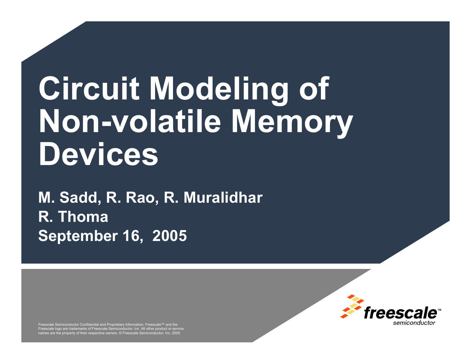# **Circuit Modeling of Non-volatile Memory Devices**

**M. Sadd, R. Rao, R. Muralidhar R. Thoma September 16, 2005**

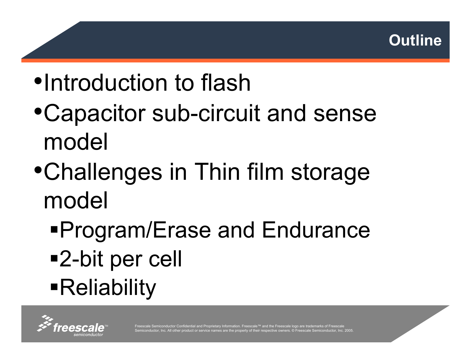

- •Introduction to flash
- •Capacitor sub-circuit and sense model
- •Challenges in Thin film storage model
	- Program/Erase and Endurance 2-bit per cell Reliability

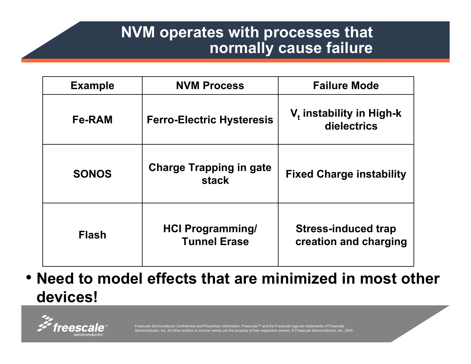#### **NVM operates with processes that normally cause failure**

| <b>Example</b> | <b>NVM Process</b>                             | <b>Failure Mode</b>                                 |
|----------------|------------------------------------------------|-----------------------------------------------------|
| <b>Fe-RAM</b>  | <b>Ferro-Electric Hysteresis</b>               | V <sub>t</sub> instability in High-k<br>dielectrics |
| <b>SONOS</b>   | <b>Charge Trapping in gate</b><br><b>stack</b> | <b>Fixed Charge instability</b>                     |
| <b>Flash</b>   | <b>HCI Programming/</b><br><b>Tunnel Erase</b> | <b>Stress-induced trap</b><br>creation and charging |

• **Need to model effects that are minimized in most other devices!**

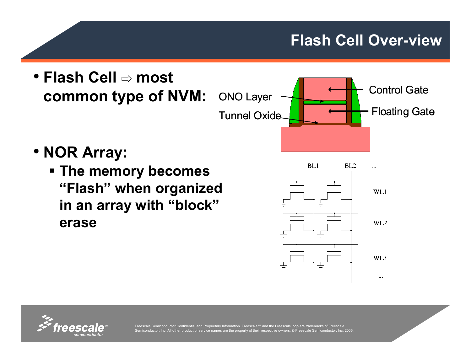#### **Flash Cell Over-view**



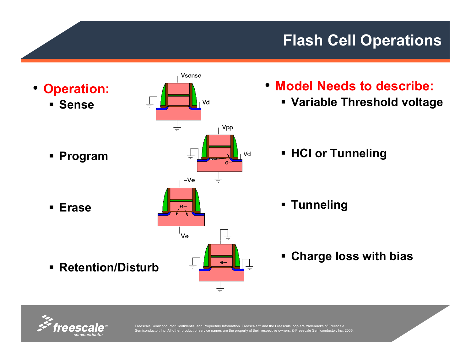### **Flash Cell Operations**



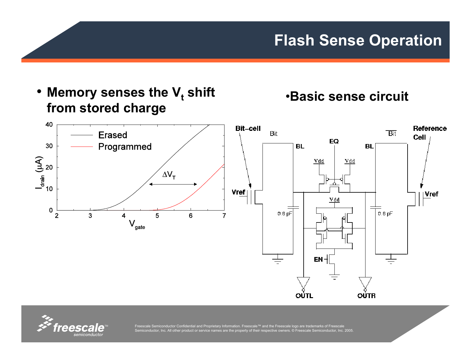

#### •**Basic sense circuit**



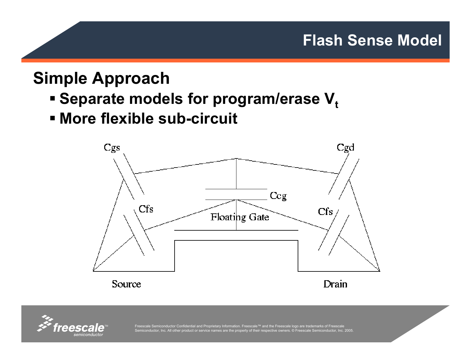## **Simple Approach**

- **Separate models for program/erase V** $_{\rm t}$
- **More flexible sub-circuit**



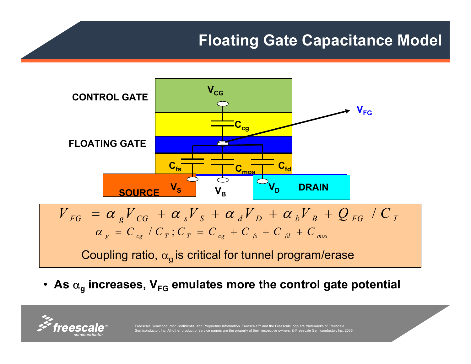#### **Floating Gate Capacitance Model**



• As  $\alpha_{\sf g}$  increases, V<sub>FG</sub> emulates more the control gate potential

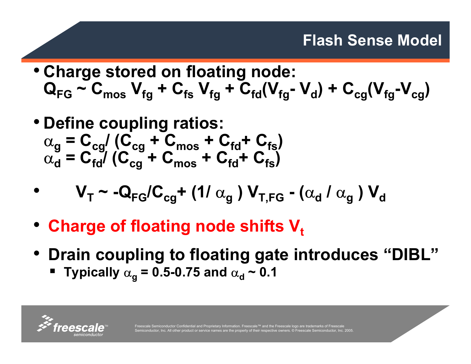#### **Flash Sense Model**

- **Charge stored on floating node:**  $\mathbf{Q}_{\mathsf{FG}} \thicksim \mathbf{C}_{\mathsf{mos}} \; \mathbf{V}_{\mathsf{fg}} + \mathbf{C}_{\mathsf{fs}} \; \mathbf{V}_{\mathsf{fg}} + \mathbf{C}_{\mathsf{fd}}(\mathbf{V}_{\mathsf{fg}} \thicksim \mathbf{V}_{\mathsf{dg}}) + \mathbf{C}_{\mathsf{cg}}(\mathbf{V}_{\mathsf{fg}} \thicksim \mathbf{V}_{\mathsf{cg}})$
- **Define coupling ratios:**  $\alpha_{\mathbf{g}} = \mathbf{C}_{\mathbf{c}\mathbf{g}} / (\mathbf{C}_{\mathbf{c}\mathbf{g}} + \mathbf{C}_{\mathbf{mos}} + \mathbf{C}_{\mathbf{fd}} + \mathbf{C}_{\mathbf{fg}})$  $\alpha_{\mathbf{d}}^{\mathsf{T}} = \mathbf{C}_{\mathsf{fd}}^{\mathsf{T}} / (\mathbf{C}_{\mathsf{cg}}^{\mathsf{T}} + \mathbf{C}_{\mathsf{mos}}^{\mathsf{T}} + \mathbf{C}_{\mathsf{fd}}^{\mathsf{T}} + \mathbf{C}_{\mathsf{fs}}^{\mathsf{T}})$

• 
$$
V_T \sim -Q_{FG}/C_{cg} + (1/\alpha_g) V_{T,FG} - (\alpha_d/\alpha_g) V_d
$$

- Charge of floating node shifts V<sub>t</sub>
- **Drain coupling to floating gate introduces "DIBL"**
	- **Typically** <sup>α</sup>**<sup>g</sup> = 0.5-0.75 and** <sup>α</sup>**<sup>d</sup> ~ 0.1**



•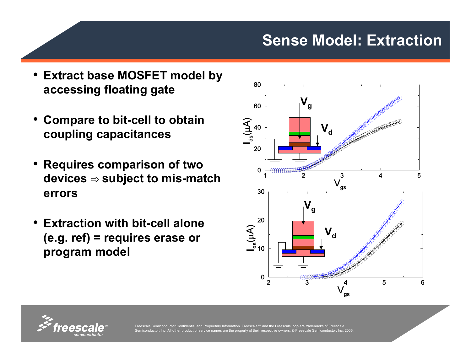#### **Sense Model: Extraction**

- **Extract base MOSFET model by accessing floating gate**
- • **Compare to bit-cell to obtain coupling capacitances**
- • **Requires comparison of two devices** ⇨ **subject to mis-match errors**
- • **Extraction with bit-cell alone (e.g. ref) = requires erase or program model**



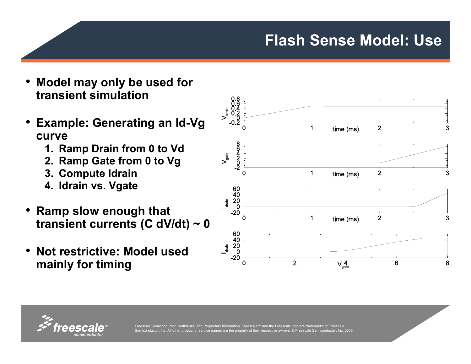#### **Flash Sense Model: Use**



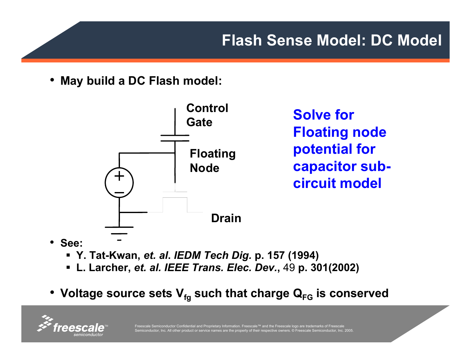• **May build a DC Flash model:**



**Solve for Floating node potential for capacitor subcircuit model**

- **See:** 
	- **Y. Tat-Kwan,** *et. al***.** *IEDM Tech Dig.* **p. 157 (1994)**
	- **L. Larcher,** *et. al. IEEE Trans. Elec. Dev.***,** 49 **p. 301(2002)**
- Voltage source sets V<sub>fg</sub> such that charge Q<sub>FG</sub> is conserved

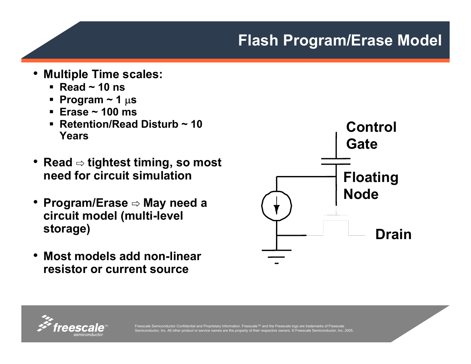#### **Flash Program/Erase Model**

- • **Multiple Time scales:**
	- **Read ~ 10 ns**
	- **Program ~ 1** µ**<sup>s</sup>**
	- **Erase ~ 100 ms**
	- **Retention/Read Disturb ~ 10 Years**
- **Read** ⇨ **tightest timing, so most need for circuit simulation**
- • **Program/Erase** ⇨ **May need a circuit model (multi-level storage)**
- • **Most models add non-linear resistor or current source**



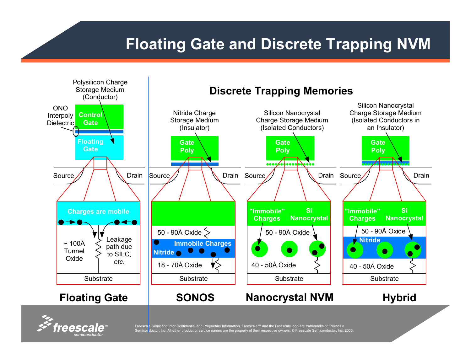### **Floating Gate and Discrete Trapping NVM**



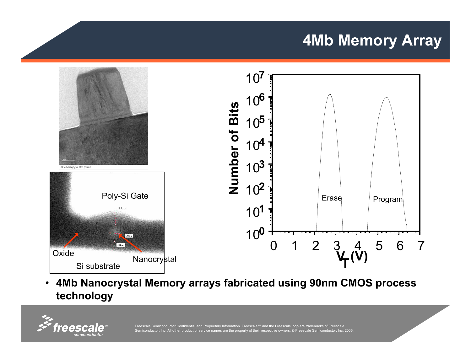#### **4Mb Memory Array**



• **4Mb Nanocrystal Memory arrays fabricated using 90nm CMOS process technology**

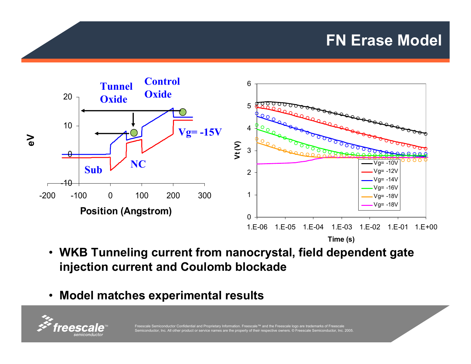#### **FN Erase Model**



**Time (s)**

- **WKB Tunneling current from nanocrystal, field dependent gate injection current and Coulomb blockade**
- **Model matches experimental results**

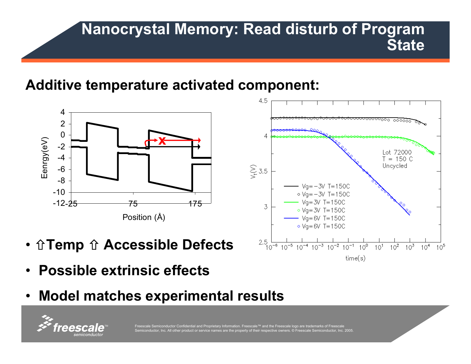#### **Nanocrystal Memory: Read disturb of Program State**

#### **Additive temperature activated component:**



- **↑Temp ↑ Accessible Defects**
- **Possible extrinsic effects**
- **Model matches experimental results**



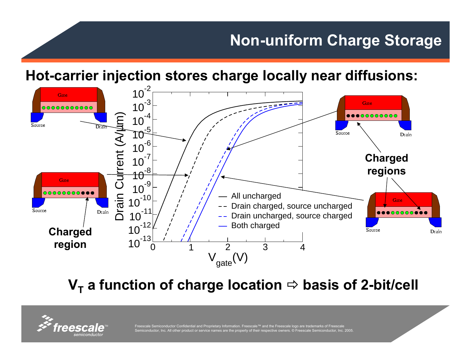### **Non-uniform Charge Storage**

**Hot-carrier injection stores charge locally near diffusions:**



**Ⅴ<sub>T</sub> a function of charge location**  $\Rightarrow$  **basis of 2-bit/cell** 

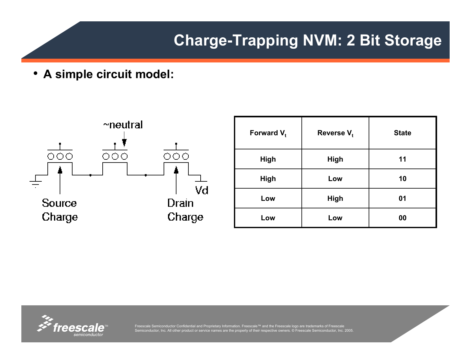#### **Charge-Trapping NVM: 2 Bit Storage**

• **A simple circuit model:**



| Forward $V_t$ | Reverse $V_t$ | <b>State</b> |
|---------------|---------------|--------------|
| High          | <b>High</b>   | 11           |
| High          | Low           | 10           |
| Low           | <b>High</b>   | 01           |
| Low           | Low           | 00           |

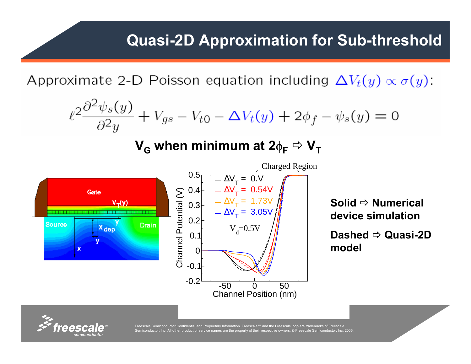Approximate 2-D Poisson equation including  $\Delta V_t(y) \propto \sigma(y)$ :

$$
\ell^2 \frac{\partial^2 \psi_s(y)}{\partial^2 y} + V_{gs} - V_{t0} - \Delta V_t(y) + 2\phi_f - \psi_s(y) = 0
$$

#### **V<sub>G</sub>** when minimum at 2φ<sub>F</sub> ⇨ V<sub>T</sub>



**Solid** Ö **Numerical device simulation**

**Dashed** Ö **Quasi-2D model**

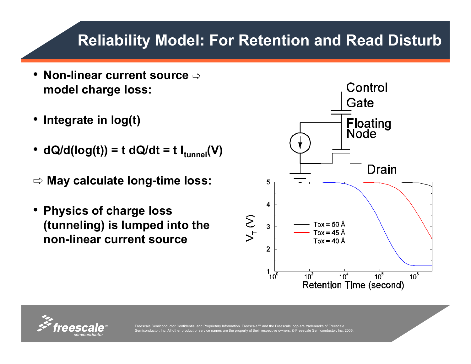## **Reliability Model: For Retention and Read Disturb**

- **Non-linear current source** ⇨ **model charge loss:**
- •**Integrate in log(t)**
- • $dQ/d(log(t)) = t dQ/dt = t I_{tunnel}(V)$
- ⇨ **May calculate long-time loss:**
- • **Physics of charge loss (tunneling) is lumped into the non-linear current source**



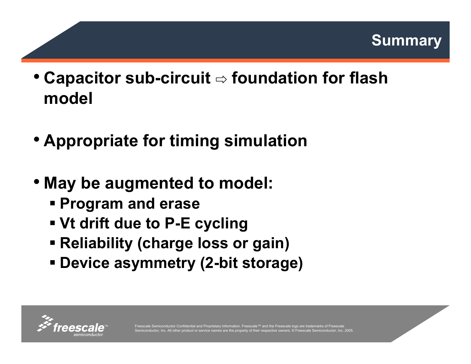

- **Capacitor sub-circuit** ⇨ **foundation for flash model**
- **Appropriate for timing simulation**
- **May be augmented to model:**
	- **Program and erase**
	- **Vt drift due to P-E cycling**
	- **Reliability (charge loss or gain)**
	- **Device asymmetry (2-bit storage)**